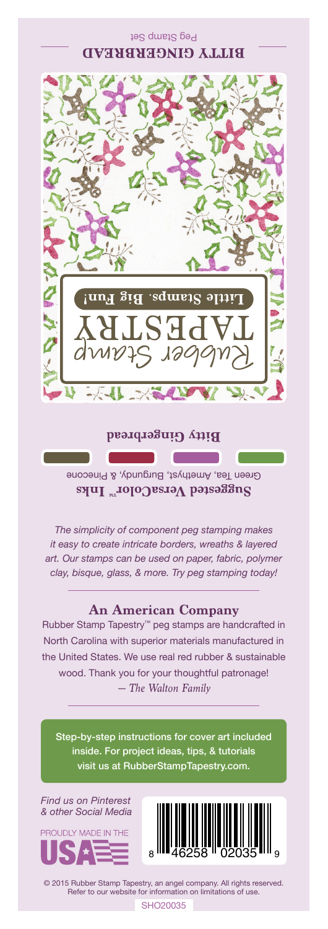## Peg Stamp Set **BITTY GINGERBREAD**



**Bitty Gingerbread**

Green Tea, Amethyst, Burgundy, & Pinecone Suggested VersaColor<sup>m</sup> Inks

*The simplicity of component peg stamping makes it easy to create intricate borders, wreaths & layered art. Our stamps can be used on paper, fabric, polymer clay, bisque, glass, & more. Try peg stamping today!*

## **An American Company**

*— The Walton Family* Rubber Stamp Tapestry™ peg stamps are handcrafted in North Carolina with superior materials manufactured in the United States. We use real red rubber & sustainable wood. Thank you for your thoughtful patronage!

Step-by-step instructions for cover art included inside. For project ideas, tips, & tutorials visit us at RubberStampTapestry.com.

*Find us on Pinterest & other Social Media*





© 2015 Rubber Stamp Tapestry, an angel company. All rights reserved. Refer to our website for information on limitations of use.